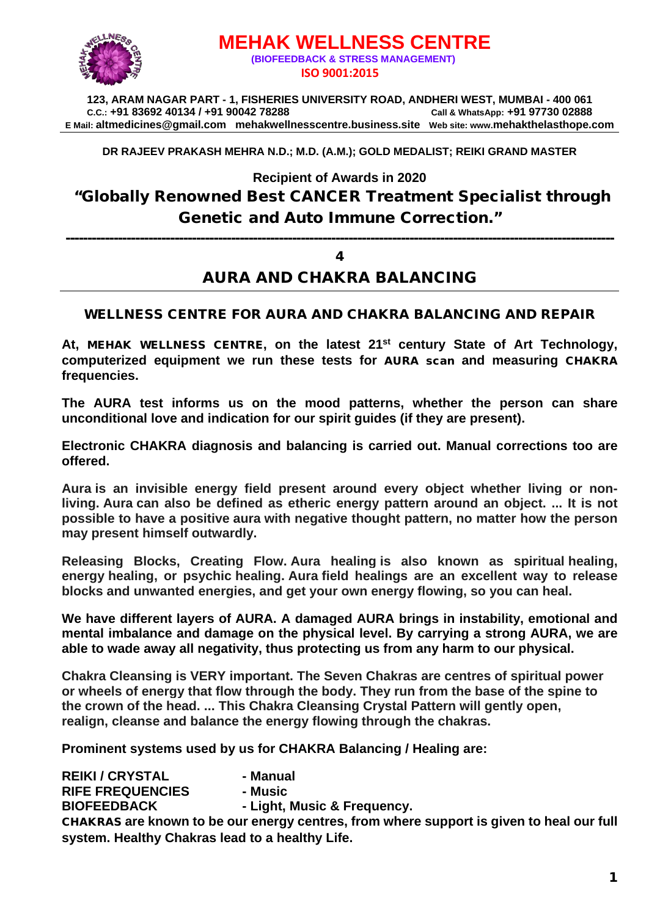

# **MEHAK WELLNESS CENTRE (BIOFEEDBACK & STRESS MANAGEMENT) ISO 9001:2015**

**123, ARAM NAGAR PART - 1, FISHERIES UNIVERSITY ROAD, ANDHERI WEST, MUMBAI - 400 061 C.C.: +91 83692 40134 / +91 90042 78288 Call & WhatsApp: +91 97730 02888 E Mail: [altmedicines@gmail.com](mailto:altmedicines@gmail.com) mehakwellnesscentre.business.site Web site: www.mehakthelasthope.com**

**DR RAJEEV PRAKASH MEHRA N.D.; M.D. (A.M.); GOLD MEDALIST; REIKI GRAND MASTER** 

**Recipient of Awards in 2020**

# "Globally Renowned Best CANCER Treatment Specialist through Genetic and Auto Immune Correction."

------------------------------------------------------------------------------------------------------------------------------

#### 4

### AURA AND CHAKRA BALANCING

#### WELLNESS CENTRE FOR AURA AND CHAKRA BALANCING AND REPAIR

**At,** MEHAK WELLNESS CENTRE**, on the latest 21st century State of Art Technology, computerized equipment we run these tests for** AURA scan **and measuring** CHAKRA **frequencies.**

**The AURA test informs us on the mood patterns, whether the person can share unconditional love and indication for our spirit guides (if they are present).**

**Electronic CHAKRA diagnosis and balancing is carried out. Manual corrections too are offered.** 

**Aura is an invisible energy field present around every object whether living or nonliving. Aura can also be defined as etheric energy pattern around an object. ... It is not possible to have a positive aura with negative thought pattern, no matter how the person may present himself outwardly.**

**Releasing Blocks, Creating Flow. Aura healing is also known as spiritual healing, energy healing, or psychic healing. Aura field healings are an excellent way to release blocks and unwanted energies, and get your own energy flowing, so you can heal.**

**We have different layers of AURA. A damaged AURA brings in instability, emotional and mental imbalance and damage on the physical level. By carrying a strong AURA, we are able to wade away all negativity, thus protecting us from any harm to our physical.**

**Chakra Cleansing is VERY important. The Seven Chakras are centres of spiritual power or wheels of energy that flow through the body. They run from the base of the spine to the crown of the head. ... This Chakra Cleansing Crystal Pattern will gently open, realign, cleanse and balance the energy flowing through the chakras.**

**Prominent systems used by us for CHAKRA Balancing / Healing are:**

**REIKI / CRYSTAL - Manual RIFE FREQUENCIES - Music BIOFEEDBACK - Light, Music & Frequency.** CHAKRAS **are known to be our energy centres, from where support is given to heal our full system. Healthy Chakras lead to a healthy Life.**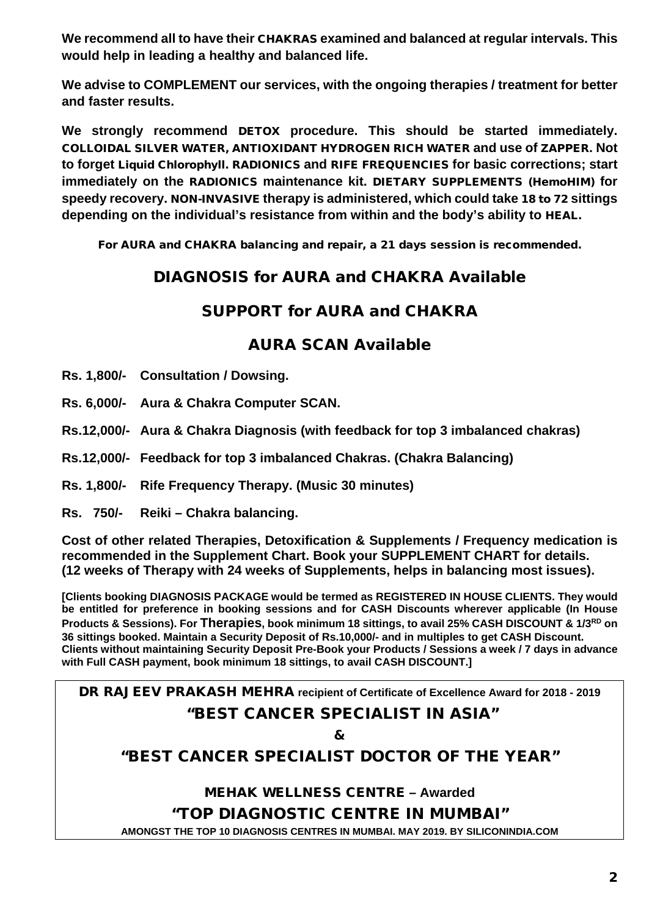**We recommend all to have their** CHAKRAS **examined and balanced at regular intervals. This would help in leading a healthy and balanced life.** 

**We advise to COMPLEMENT our services, with the ongoing therapies / treatment for better and faster results.**

**We strongly recommend** DETOX **procedure. This should be started immediately.**  COLLOIDAL SILVER WATER, ANTIOXIDANT HYDROGEN RICH WATER **and use of** ZAPPER**. Not to forget** Liquid Chlorophyll. RADIONICS **and** RIFE FREQUENCIES **for basic corrections; start immediately on the** RADIONICS **maintenance kit.** DIETARY SUPPLEMENTS (HemoHIM) **for speedy recovery.** NON-INVASIVE **therapy is administered, which could take** 18 to 72 **sittings depending on the individual's resistance from within and the body's ability to** HEAL.

For AURA and CHAKRA balancing and repair, a 21 days session is recommended.

## DIAGNOSIS for AURA and CHAKRA Available

### SUPPORT for AURA and CHAKRA

### AURA SCAN Available

- **Rs. 1,800/- Consultation / Dowsing.**
- **Rs. 6,000/- Aura & Chakra Computer SCAN.**
- **Rs.12,000/- Aura & Chakra Diagnosis (with feedback for top 3 imbalanced chakras)**
- **Rs.12,000/- Feedback for top 3 imbalanced Chakras. (Chakra Balancing)**
- **Rs. 1,800/- Rife Frequency Therapy. (Music 30 minutes)**
- **Rs. 750/- Reiki – Chakra balancing.**

**Cost of other related Therapies, Detoxification & Supplements / Frequency medication is recommended in the Supplement Chart. Book your SUPPLEMENT CHART for details. (12 weeks of Therapy with 24 weeks of Supplements, helps in balancing most issues).**

**[Clients booking DIAGNOSIS PACKAGE would be termed as REGISTERED IN HOUSE CLIENTS. They would be entitled for preference in booking sessions and for CASH Discounts wherever applicable (In House Products & Sessions). For Therapies, book minimum 18 sittings, to avail 25% CASH DISCOUNT & 1/3RD on 36 sittings booked. Maintain a Security Deposit of Rs.10,000/- and in multiples to get CASH Discount. Clients without maintaining Security Deposit Pre-Book your Products / Sessions a week / 7 days in advance with Full CASH payment, book minimum 18 sittings, to avail CASH DISCOUNT.]**

DR RAJEEV PRAKASH MEHRA **recipient of Certificate of Excellence Award for 2018 - 2019**

### "BEST CANCER SPECIALIST IN ASIA"

&

# "BEST CANCER SPECIALIST DOCTOR OF THE YEAR"

MEHAK WELLNESS CENTRE **– Awarded**

"TOP DIAGNOSTIC CENTRE IN MUMBAI"

**AMONGST THE TOP 10 DIAGNOSIS CENTRES IN MUMBAI. MAY 2019. BY SILICONINDIA.COM**